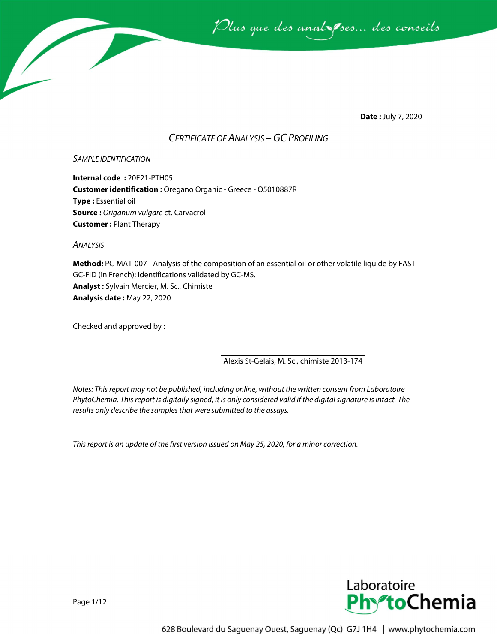

**Date :** July 7, 2020

### *CERTIFICATE OF ANALYSIS –GC PROFILING*

#### *SAMPLE IDENTIFICATION*

**Internal code :** 20E21-PTH05 **Customer identification :** Oregano Organic - Greece - O5010887R **Type :** Essential oil **Source :** *Origanum vulgare* ct. Carvacrol **Customer :** Plant Therapy

*ANALYSIS*

**Method:** PC-MAT-007 - Analysis of the composition of an essential oil or other volatile liquide by FAST GC-FID (in French); identifications validated by GC-MS. **Analyst :** Sylvain Mercier, M. Sc., Chimiste **Analysis date :** May 22, 2020

Checked and approved by :

Alexis St-Gelais, M. Sc., chimiste 2013-174

*Notes: This report may not be published, including online, without the written consent from Laboratoire PhytoChemia. This report is digitally signed, it is only considered valid if the digital signature is intact. The results only describe the samples that were submitted to the assays.*

*This report is an update of the first version issued on May 25, 2020, for a minor correction.* 

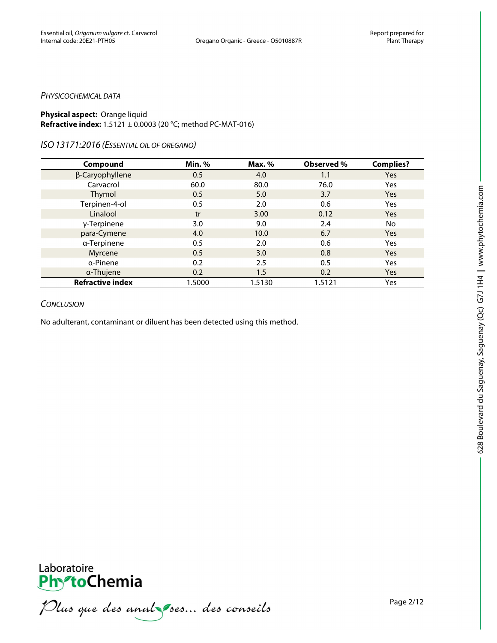#### *PHYSICOCHEMICAL DATA*

#### **Physical aspect:** Orange liquid **Refractive index:** 1.5121 ± 0.0003 (20 °C; method PC-MAT-016)

#### *ISO13171:2016 (ESSENTIAL OIL OF OREGANO)*

| Compound                | Min.%  | Max. % | Observed % | <b>Complies?</b> |
|-------------------------|--------|--------|------------|------------------|
| β-Caryophyllene         | 0.5    | 4.0    | 1.1        | Yes              |
| Carvacrol               | 60.0   | 80.0   | 76.0       | Yes              |
| Thymol                  | 0.5    | 5.0    | 3.7        | <b>Yes</b>       |
| Terpinen-4-ol           | 0.5    | 2.0    | 0.6        | Yes              |
| Linalool                | tr     | 3.00   | 0.12       | <b>Yes</b>       |
| γ-Terpinene             | 3.0    | 9.0    | 2.4        | No               |
| para-Cymene             | 4.0    | 10.0   | 6.7        | <b>Yes</b>       |
| a-Terpinene             | 0.5    | 2.0    | 0.6        | Yes              |
| Myrcene                 | 0.5    | 3.0    | 0.8        | <b>Yes</b>       |
| α-Pinene                | 0.2    | 2.5    | 0.5        | Yes              |
| a-Thujene               | 0.2    | 1.5    | 0.2        | <b>Yes</b>       |
| <b>Refractive index</b> | 1.5000 | 1.5130 | 1.5121     | Yes              |

#### *CONCLUSION*

No adulterant, contaminant or diluent has been detected using this method.





PhytoChemia<br>PhytoChemia<br>*Plus que des analyses... des conseils*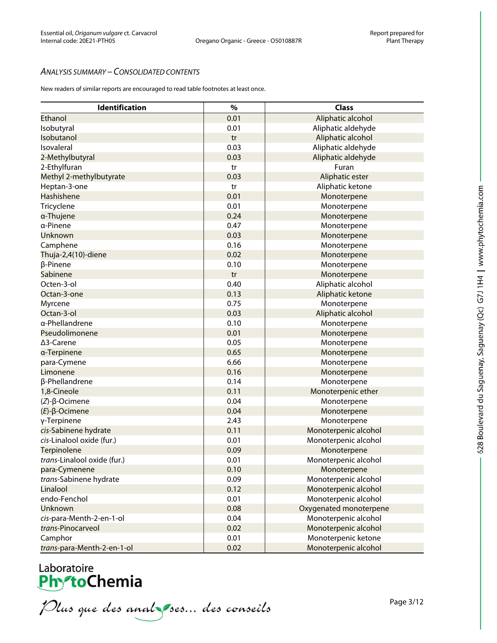#### *ANALYSIS SUMMARY – CONSOLIDATED CONTENTS*

New readers of similar reports are encouraged to read table footnotes at least once.

| Identification              | $\frac{9}{6}$ | <b>Class</b>           |
|-----------------------------|---------------|------------------------|
| Ethanol                     | 0.01          | Aliphatic alcohol      |
| Isobutyral                  | 0.01          | Aliphatic aldehyde     |
| Isobutanol                  | tr            | Aliphatic alcohol      |
| Isovaleral                  | 0.03          | Aliphatic aldehyde     |
| 2-Methylbutyral             | 0.03          | Aliphatic aldehyde     |
| 2-Ethylfuran                | tr            | Furan                  |
| Methyl 2-methylbutyrate     | 0.03          | Aliphatic ester        |
| Heptan-3-one                | tr            | Aliphatic ketone       |
| Hashishene                  | 0.01          | Monoterpene            |
| Tricyclene                  | 0.01          | Monoterpene            |
| a-Thujene                   | 0.24          | Monoterpene            |
| a-Pinene                    | 0.47          | Monoterpene            |
| Unknown                     | 0.03          | Monoterpene            |
| Camphene                    | 0.16          | Monoterpene            |
| Thuja-2,4(10)-diene         | 0.02          | Monoterpene            |
| β-Pinene                    | 0.10          | Monoterpene            |
| Sabinene                    | tr            | Monoterpene            |
| Octen-3-ol                  | 0.40          | Aliphatic alcohol      |
| Octan-3-one                 | 0.13          | Aliphatic ketone       |
| Myrcene                     | 0.75          | Monoterpene            |
| Octan-3-ol                  | 0.03          | Aliphatic alcohol      |
| a-Phellandrene              | 0.10          | Monoterpene            |
| Pseudolimonene              | 0.01          | Monoterpene            |
| ∆3-Carene                   | 0.05          | Monoterpene            |
| a-Terpinene                 | 0.65          | Monoterpene            |
| para-Cymene                 | 6.66          | Monoterpene            |
| Limonene                    | 0.16          | Monoterpene            |
| β-Phellandrene              | 0.14          | Monoterpene            |
| 1,8-Cineole                 | 0.11          | Monoterpenic ether     |
| $(Z)-\beta$ -Ocimene        | 0.04          | Monoterpene            |
| $(E)$ - $\beta$ -Ocimene    | 0.04          | Monoterpene            |
| γ-Terpinene                 | 2.43          | Monoterpene            |
| cis-Sabinene hydrate        | 0.11          | Monoterpenic alcohol   |
| cis-Linalool oxide (fur.)   | 0.01          | Monoterpenic alcohol   |
| Terpinolene                 | 0.09          | Monoterpene            |
| trans-Linalool oxide (fur.) | 0.01          | Monoterpenic alcohol   |
| para-Cymenene               | 0.10          | Monoterpene            |
| trans-Sabinene hydrate      | 0.09          | Monoterpenic alcohol   |
| Linalool                    | 0.12          | Monoterpenic alcohol   |
| endo-Fenchol                | 0.01          | Monoterpenic alcohol   |
| Unknown                     | 0.08          | Oxygenated monoterpene |
| cis-para-Menth-2-en-1-ol    | 0.04          | Monoterpenic alcohol   |
| trans-Pinocarveol           | 0.02          | Monoterpenic alcohol   |
| Camphor                     | 0.01          | Monoterpenic ketone    |
| trans-para-Menth-2-en-1-ol  | 0.02          | Monoterpenic alcohol   |

Laboratoire<br>PhytoChemia<br>*Plus que des analyses... des conseils*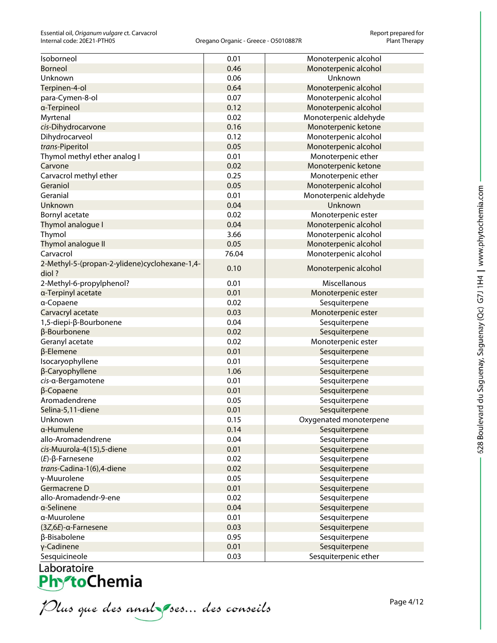| Isoborneol                                    | 0.01  | Monoterpenic alcohol   |
|-----------------------------------------------|-------|------------------------|
| <b>Borneol</b>                                | 0.46  | Monoterpenic alcohol   |
| Unknown                                       | 0.06  | Unknown                |
| Terpinen-4-ol                                 | 0.64  | Monoterpenic alcohol   |
| para-Cymen-8-ol                               | 0.07  | Monoterpenic alcohol   |
| a-Terpineol                                   | 0.12  | Monoterpenic alcohol   |
| Myrtenal                                      | 0.02  | Monoterpenic aldehyde  |
| cis-Dihydrocarvone                            | 0.16  | Monoterpenic ketone    |
| Dihydrocarveol                                | 0.12  | Monoterpenic alcohol   |
| trans-Piperitol                               | 0.05  | Monoterpenic alcohol   |
| Thymol methyl ether analog I                  | 0.01  | Monoterpenic ether     |
| Carvone                                       | 0.02  | Monoterpenic ketone    |
| Carvacrol methyl ether                        | 0.25  | Monoterpenic ether     |
| Geraniol                                      | 0.05  | Monoterpenic alcohol   |
| Geranial                                      | 0.01  | Monoterpenic aldehyde  |
| Unknown                                       | 0.04  | Unknown                |
| Bornyl acetate                                | 0.02  | Monoterpenic ester     |
| Thymol analogue I                             | 0.04  | Monoterpenic alcohol   |
| Thymol                                        | 3.66  | Monoterpenic alcohol   |
| Thymol analogue II                            | 0.05  | Monoterpenic alcohol   |
| Carvacrol                                     | 76.04 | Monoterpenic alcohol   |
| 2-Methyl-5-(propan-2-ylidene)cyclohexane-1,4- |       |                        |
| diol?                                         | 0.10  | Monoterpenic alcohol   |
| 2-Methyl-6-propylphenol?                      | 0.01  | Miscellanous           |
| a-Terpinyl acetate                            | 0.01  | Monoterpenic ester     |
| a-Copaene                                     | 0.02  | Sesquiterpene          |
| Carvacryl acetate                             | 0.03  | Monoterpenic ester     |
| 1,5-diepi-β-Bourbonene                        | 0.04  | Sesquiterpene          |
| β-Bourbonene                                  | 0.02  | Sesquiterpene          |
| Geranyl acetate                               | 0.02  | Monoterpenic ester     |
| $\beta$ -Elemene                              | 0.01  | Sesquiterpene          |
| Isocaryophyllene                              | 0.01  | Sesquiterpene          |
| β-Caryophyllene                               | 1.06  | Sesquiterpene          |
| cis-a-Bergamotene                             | 0.01  | Sesquiterpene          |
| β-Copaene                                     | 0.01  | Sesquiterpene          |
| Aromadendrene                                 | 0.05  | Sesquiterpene          |
| Selina-5,11-diene                             | 0.01  | Sesquiterpene          |
| Unknown                                       | 0.15  | Oxygenated monoterpene |
| a-Humulene                                    | 0.14  | Sesquiterpene          |
| allo-Aromadendrene                            | 0.04  | Sesquiterpene          |
| cis-Muurola-4(15),5-diene                     | 0.01  | Sesquiterpene          |
| $(E)$ - $\beta$ -Farnesene                    | 0.02  | Sesquiterpene          |
| trans-Cadina-1(6),4-diene                     | 0.02  | Sesquiterpene          |
| γ-Muurolene                                   | 0.05  | Sesquiterpene          |
| Germacrene D                                  | 0.01  | Sesquiterpene          |
| allo-Aromadendr-9-ene                         | 0.02  | Sesquiterpene          |
| a-Selinene                                    | 0.04  | Sesquiterpene          |
| a-Muurolene                                   | 0.01  | Sesquiterpene          |
| $(3Z,6E)$ -a-Farnesene                        | 0.03  | Sesquiterpene          |
| β-Bisabolene                                  | 0.95  | Sesquiterpene          |
| γ-Cadinene                                    | 0.01  | Sesquiterpene          |
| Sesquicineole                                 | 0.03  | Sesquiterpenic ether   |

Sesquicineoire<br> **PhytoChemia**<br> *Plus que des analyses*... des conseils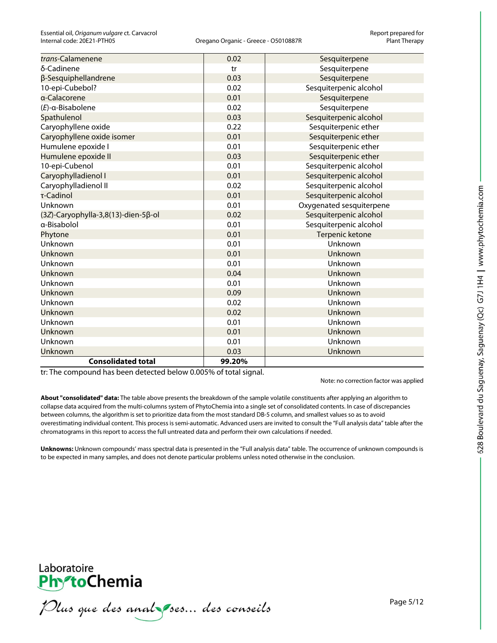| trans-Calamenene                    | 0.02   | Sesquiterpene            |
|-------------------------------------|--------|--------------------------|
| δ-Cadinene                          | tr     | Sesquiterpene            |
| β-Sesquiphellandrene                | 0.03   | Sesquiterpene            |
| 10-epi-Cubebol?                     | 0.02   | Sesquiterpenic alcohol   |
| a-Calacorene                        | 0.01   | Sesquiterpene            |
| $(E)$ -a-Bisabolene                 | 0.02   | Sesquiterpene            |
| Spathulenol                         | 0.03   | Sesquiterpenic alcohol   |
| Caryophyllene oxide                 | 0.22   | Sesquiterpenic ether     |
| Caryophyllene oxide isomer          | 0.01   | Sesquiterpenic ether     |
| Humulene epoxide I                  | 0.01   | Sesquiterpenic ether     |
| Humulene epoxide II                 | 0.03   | Sesquiterpenic ether     |
| 10-epi-Cubenol                      | 0.01   | Sesquiterpenic alcohol   |
| Caryophylladienol I                 | 0.01   | Sesquiterpenic alcohol   |
| Caryophylladienol II                | 0.02   | Sesquiterpenic alcohol   |
| τ-Cadinol                           | 0.01   | Sesquiterpenic alcohol   |
| Unknown                             | 0.01   | Oxygenated sesquiterpene |
| (3Z)-Caryophylla-3,8(13)-dien-5β-ol | 0.02   | Sesquiterpenic alcohol   |
| a-Bisabolol                         | 0.01   | Sesquiterpenic alcohol   |
| Phytone                             | 0.01   | Terpenic ketone          |
| Unknown                             | 0.01   | Unknown                  |
| <b>Unknown</b>                      | 0.01   | Unknown                  |
| Unknown                             | 0.01   | Unknown                  |
| Unknown                             | 0.04   | Unknown                  |
| Unknown                             | 0.01   | Unknown                  |
| Unknown                             | 0.09   | Unknown                  |
| Unknown                             | 0.02   | Unknown                  |
| Unknown                             | 0.02   | Unknown                  |
| Unknown                             | 0.01   | Unknown                  |
| Unknown                             | 0.01   | Unknown                  |
| Unknown                             | 0.01   | Unknown                  |
| Unknown                             | 0.03   | Unknown                  |
| <b>Consolidated total</b>           | 99.20% |                          |

tr: The compound has been detected below 0.005% of total signal.

Note: no correction factor was applied

**About "consolidated" data:** The table above presents the breakdown of the sample volatile constituents after applying an algorithm to collapse data acquired from the multi-columns system of PhytoChemia into a single set of consolidated contents. In case of discrepancies between columns, the algorithm is set to prioritize data from the most standard DB-5 column, and smallest values so as to avoid overestimating individual content. This process is semi-automatic. Advanced users are invited to consult the "Full analysis data" table after the chromatograms in this report to access the full untreated data and perform their own calculations if needed.

**Unknowns:** Unknown compounds' mass spectral data is presented in the "Full analysis data" table. The occurrence of unknown compounds is to be expected in many samples, and does not denote particular problems unless noted otherwise in the conclusion.



Plus que des analzes... des conseils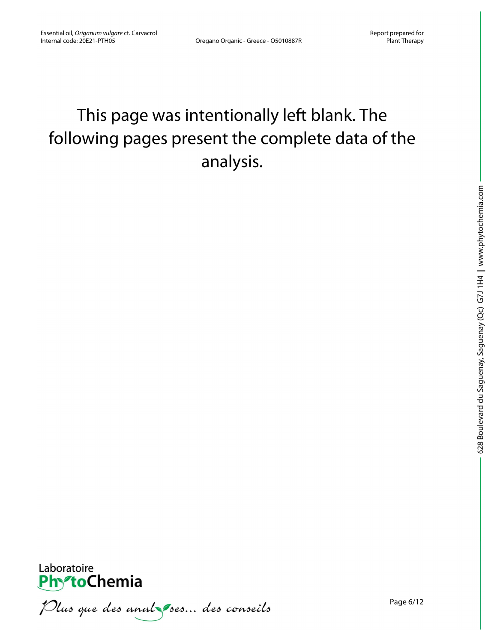## This page was intentionally left blank. The following pages present the complete data of the analysis.



Plus que des analzes... des conseils

Page 6/12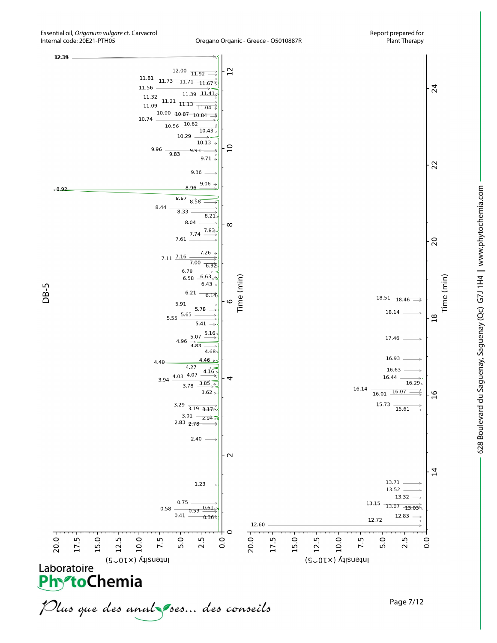

Oregano Organic - Greece - O5010887R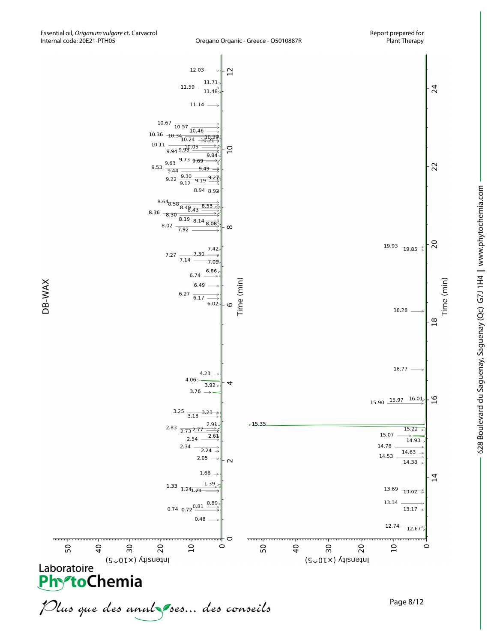

Time (min)





Page 8/12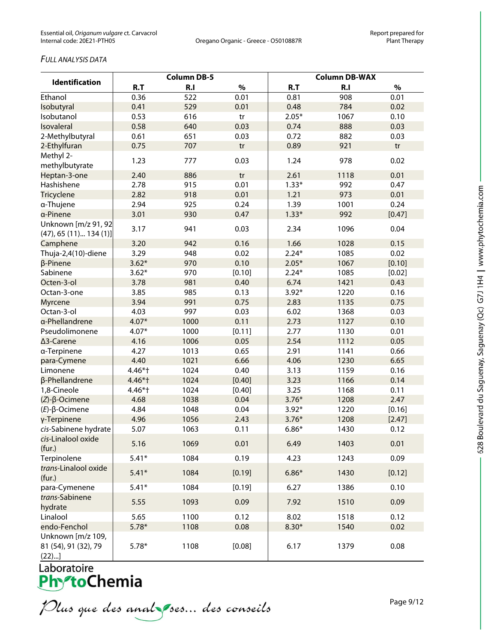#### *FULL ANALYSIS DATA*

|                                | <b>Column DB-5</b> |      |        | <b>Column DB-WAX</b> |                |        |  |
|--------------------------------|--------------------|------|--------|----------------------|----------------|--------|--|
| <b>Identification</b>          | R.T                | R.I  | $\%$   | R.T                  | R <sub>1</sub> | $\%$   |  |
| Ethanol                        | 0.36               | 522  | 0.01   | 0.81                 | 908            | 0.01   |  |
| Isobutyral                     | 0.41               | 529  | 0.01   | 0.48                 | 784            | 0.02   |  |
| Isobutanol                     | 0.53               | 616  | tr     | $2.05*$              | 1067           | 0.10   |  |
| Isovaleral                     | 0.58               | 640  | 0.03   | 0.74                 | 888            | 0.03   |  |
| 2-Methylbutyral                | 0.61               | 651  | 0.03   | 0.72                 | 882            | 0.03   |  |
| 2-Ethylfuran                   | 0.75               | 707  | tr     | 0.89                 | 921            | tr     |  |
| Methyl 2-<br>methylbutyrate    | 1.23               | 777  | 0.03   | 1.24                 | 978            | 0.02   |  |
| Heptan-3-one                   | 2.40               | 886  | tr     | 2.61                 | 1118           | 0.01   |  |
| Hashishene                     | 2.78               | 915  | 0.01   | $1.33*$              | 992            | 0.47   |  |
| <b>Tricyclene</b>              | 2.82               | 918  | 0.01   | 1.21                 | 973            | 0.01   |  |
| α-Thujene                      | 2.94               | 925  | 0.24   | 1.39                 | 1001           | 0.24   |  |
| a-Pinene                       | 3.01               | 930  | 0.47   | $1.33*$              | 992            | [0.47] |  |
| Unknown [m/z 91, 92            |                    |      |        |                      |                |        |  |
| $(47)$ , 65 $(11)$ 134 $(1)$ ] | 3.17               | 941  | 0.03   | 2.34                 | 1096           | 0.04   |  |
| Camphene                       | 3.20               | 942  | 0.16   | 1.66                 | 1028           | 0.15   |  |
| Thuja-2,4(10)-diene            | 3.29               | 948  | 0.02   | $2.24*$              | 1085           | 0.02   |  |
| β-Pinene                       | $3.62*$            | 970  | 0.10   | $2.05*$              | 1067           | [0.10] |  |
| Sabinene                       | $3.62*$            | 970  | [0.10] | $2.24*$              | 1085           | [0.02] |  |
| Octen-3-ol                     | 3.78               | 981  | 0.40   | 6.74                 | 1421           | 0.43   |  |
| Octan-3-one                    | 3.85               | 985  | 0.13   | $3.92*$              | 1220           | 0.16   |  |
| Myrcene                        | 3.94               | 991  | 0.75   | 2.83                 | 1135           | 0.75   |  |
| Octan-3-ol                     | 4.03               | 997  | 0.03   | 6.02                 | 1368           | 0.03   |  |
| a-Phellandrene                 | $4.07*$            | 1000 | 0.11   | 2.73                 | 1127           | 0.10   |  |
| Pseudolimonene                 | $4.07*$            | 1000 | [0.11] | 2.77                 | 1130           | 0.01   |  |
| ∆3-Carene                      | 4.16               | 1006 | 0.05   | 2.54                 | 1112           | 0.05   |  |
| a-Terpinene                    | 4.27               | 1013 | 0.65   | 2.91                 | 1141           | 0.66   |  |
| para-Cymene                    | 4.40               | 1021 | 6.66   | 4.06                 | 1230           | 6.65   |  |
| Limonene                       | 4.46*†             | 1024 | 0.40   | 3.13                 | 1159           | 0.16   |  |
| β-Phellandrene                 | 4.46*†             | 1024 | [0.40] | 3.23                 | 1166           | 0.14   |  |
| 1,8-Cineole                    | 4.46*†             | 1024 | [0.40] | 3.25                 | 1168           | 0.11   |  |
| $(Z)$ - $\beta$ -Ocimene       | 4.68               | 1038 | 0.04   | $3.76*$              | 1208           | 2.47   |  |
| $(E)$ -β-Ocimene               | 4.84               | 1048 | 0.04   | $3.92*$              | 1220           | [0.16] |  |
| γ-Terpinene                    | 4.96               | 1056 | 2.43   | $3.76*$              | 1208           | [2.47] |  |
| cis-Sabinene hydrate           | 5.07               | 1063 | 0.11   | $6.86*$              | 1430           | 0.12   |  |
| cis-Linalool oxide<br>(fur.)   | 5.16               | 1069 | 0.01   | 6.49                 | 1403           | 0.01   |  |
| Terpinolene                    | $5.41*$            | 1084 | 0.19   | 4.23                 | 1243           | 0.09   |  |
| trans-Linalool oxide<br>(fur.) | $5.41*$            | 1084 | [0.19] | $6.86*$              | 1430           | [0.12] |  |
| para-Cymenene                  | $5.41*$            | 1084 | [0.19] | 6.27                 | 1386           | 0.10   |  |
| trans-Sabinene<br>hydrate      | 5.55               | 1093 | 0.09   | 7.92                 | 1510           | 0.09   |  |
| Linalool                       | 5.65               | 1100 | 0.12   | 8.02                 | 1518           | 0.12   |  |
| endo-Fenchol                   | $5.78*$            | 1108 | 0.08   | $8.30*$              | 1540           | 0.02   |  |
| Unknown [m/z 109,              |                    |      |        |                      |                |        |  |
| 81 (54), 91 (32), 79<br>(22)   | $5.78*$            | 1108 | [0.08] | 6.17                 | 1379           | 0.08   |  |

Laboratoire<br>**Phy<sup>s</sup>toChemia** 

Plus que des analzes... des conseils

Page 9/12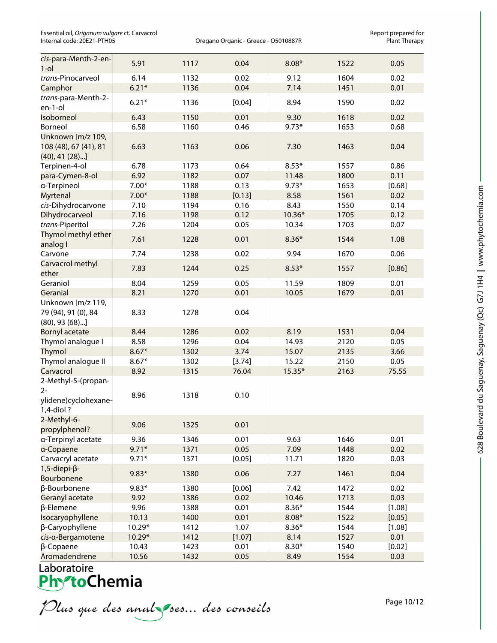Essential oil, *Origanum vulgare* ct. Carvacrol **Exting the Convention Convention Convention** Report prepared for<br>Oregano Organic - Greece - O5010887R Plant Therapy Plant Therapy

Oregano Organic - Greece - O5010887R

| cis-para-Menth-2-en-<br>$1$ -ol               | 5.91    | 1117 | 0.04   | $8.08*$ | 1522 | 0.05   |
|-----------------------------------------------|---------|------|--------|---------|------|--------|
| trans-Pinocarveol                             | 6.14    | 1132 | 0.02   | 9.12    | 1604 | 0.02   |
| Camphor                                       | $6.21*$ | 1136 | 0.04   | 7.14    | 1451 | 0.01   |
| trans-para-Menth-2-<br>en-1-ol                | $6.21*$ | 1136 | [0.04] | 8.94    | 1590 | 0.02   |
| Isoborneol                                    | 6.43    | 1150 | 0.01   | 9.30    | 1618 | 0.02   |
| Borneol                                       | 6.58    | 1160 | 0.46   | $9.73*$ | 1653 | 0.68   |
| Unknown [m/z 109,                             |         |      |        |         |      |        |
| 108 (48), 67 (41), 81<br>$(40)$ , 41 $(28)$ ] | 6.63    | 1163 | 0.06   | 7.30    | 1463 | 0.04   |
| Terpinen-4-ol                                 | 6.78    | 1173 | 0.64   | $8.53*$ | 1557 | 0.86   |
| para-Cymen-8-ol                               | 6.92    | 1182 | 0.07   | 11.48   | 1800 | 0.11   |
| a-Terpineol                                   | $7.00*$ | 1188 | 0.13   | $9.73*$ | 1653 | [0.68] |
| <b>Myrtenal</b>                               | $7.00*$ | 1188 | [0.13] | 8.58    | 1561 | 0.02   |
| cis-Dihydrocarvone                            | 7.10    | 1194 | 0.16   | 8.43    | 1550 | 0.14   |
| Dihydrocarveol                                | 7.16    | 1198 | 0.12   | 10.36*  | 1705 | 0.12   |
| trans-Piperitol                               | 7.26    | 1204 | 0.05   | 10.34   | 1703 | 0.07   |
| Thymol methyl ether                           |         |      |        |         |      |        |
| analog I                                      | 7.61    | 1228 | 0.01   | $8.36*$ | 1544 | 1.08   |
| Carvone                                       | 7.74    | 1238 | 0.02   | 9.94    | 1670 | 0.06   |
| Carvacrol methyl<br>ether                     | 7.83    | 1244 | 0.25   | $8.53*$ | 1557 | [0.86] |
| Geraniol                                      | 8.04    | 1259 | 0.05   | 11.59   | 1809 | 0.01   |
| Geranial                                      | 8.21    | 1270 | 0.01   | 10.05   | 1679 | 0.01   |
| Unknown [m/z 119,                             |         |      |        |         |      |        |
| 79 (94), 91 (0), 84<br>$(80)$ , 93 $(68)$ ]   | 8.33    | 1278 | 0.04   |         |      |        |
| <b>Bornyl acetate</b>                         | 8.44    | 1286 | 0.02   | 8.19    | 1531 | 0.04   |
|                                               | 8.58    | 1296 | 0.04   | 14.93   | 2120 | 0.05   |
| Thymol analogue I<br>Thymol                   | $8.67*$ | 1302 | 3.74   | 15.07   | 2135 | 3.66   |
| Thymol analogue II                            | $8.67*$ | 1302 | [3.74] | 15.22   | 2150 | 0.05   |
| Carvacrol                                     |         |      | 76.04  | 15.35*  |      | 75.55  |
| 2-Methyl-5-(propan-<br>$2 -$                  | 8.92    | 1315 |        |         | 2163 |        |
| ylidene)cyclohexane-<br>$1,4$ -diol?          | 8.96    | 1318 | 0.10   |         |      |        |
| 2-Methyl-6-<br>propylphenol?                  | 9.06    | 1325 | 0.01   |         |      |        |
| a-Terpinyl acetate                            | 9.36    | 1346 | 0.01   | 9.63    | 1646 | 0.01   |
| a-Copaene                                     | $9.71*$ | 1371 | 0.05   | 7.09    | 1448 | 0.02   |
| Carvacryl acetate                             | $9.71*$ | 1371 | [0.05] | 11.71   | 1820 | 0.03   |
| $1, 5$ -diepi- $\beta$ -                      |         |      |        |         |      |        |
| Bourbonene                                    | $9.83*$ | 1380 | 0.06   | 7.27    | 1461 | 0.04   |
| β-Bourbonene                                  | $9.83*$ | 1380 | [0.06] | 7.42    | 1472 | 0.02   |
| Geranyl acetate                               | 9.92    | 1386 | 0.02   | 10.46   | 1713 | 0.03   |
| $\beta$ -Elemene                              | 9.96    | 1388 | 0.01   | $8.36*$ | 1544 | [1.08] |
| Isocaryophyllene                              | 10.13   | 1400 | 0.01   | $8.08*$ | 1522 | [0.05] |
| β-Caryophyllene                               | 10.29*  | 1412 | 1.07   | $8.36*$ | 1544 | [1.08] |
| cis-a-Bergamotene                             | 10.29*  | 1412 | [1.07] | 8.14    | 1527 | 0.01   |
| β-Copaene                                     | 10.43   | 1423 | 0.01   | $8.30*$ | 1540 | [0.02] |
| Aromadendrene                                 | 10.56   | 1432 | 0.05   | 8.49    | 1554 | 0.03   |

# Laboratoire<br>**Phy<sup>s</sup>toChemia**

Plus que des analzes... des conseils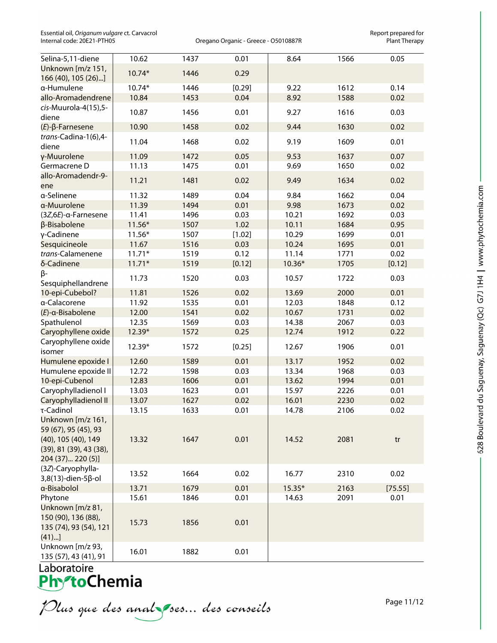Essential oil, *Origanum vulgare* ct. Carvacrol **Exercitial on a constant of constant provide** for prepared for<br>Oregano Organic - Greece - O5010887R Plant Therapy

Oregano Organic - Greece - O5010887R

| Selina-5,11-diene                                                         | 10.62          | 1437         | 0.01         | 8.64              | 1566         | 0.05            |
|---------------------------------------------------------------------------|----------------|--------------|--------------|-------------------|--------------|-----------------|
| Unknown [m/z 151,<br>166 (40), 105 (26)]                                  | 10.74*         | 1446         | 0.29         |                   |              |                 |
| a-Humulene                                                                | 10.74*         | 1446         | [0.29]       | 9.22              | 1612         | 0.14            |
| allo-Aromadendrene                                                        | 10.84          | 1453         | 0.04         | 8.92              | 1588         | 0.02            |
| cis-Muurola-4(15),5-                                                      |                |              |              |                   |              |                 |
| diene                                                                     | 10.87          | 1456         | 0.01         | 9.27              | 1616         | 0.03            |
| $(E)$ - $\beta$ -Farnesene                                                | 10.90          | 1458         | 0.02         | 9.44              | 1630         | 0.02            |
| trans-Cadina-1(6),4-<br>diene                                             | 11.04          | 1468         | 0.02         | 9.19              | 1609         | 0.01            |
| γ-Muurolene                                                               | 11.09          | 1472         | 0.05         | 9.53              | 1637         | 0.07            |
| Germacrene D                                                              | 11.13          | 1475         | 0.01         | 9.69              | 1650         | 0.02            |
| allo-Aromadendr-9-                                                        |                |              |              |                   |              |                 |
| ene                                                                       | 11.21          | 1481         | 0.02         | 9.49              | 1634         | 0.02            |
| a-Selinene                                                                | 11.32          | 1489         | 0.04         | 9.84              | 1662         | 0.04            |
| a-Muurolene                                                               | 11.39          | 1494         | 0.01         | 9.98              | 1673         | 0.02            |
| $(3Z,6E)$ -a-Farnesene                                                    | 11.41          | 1496         | 0.03         | 10.21             | 1692         | 0.03            |
| β-Bisabolene                                                              | $11.56*$       | 1507         | 1.02         | 10.11             | 1684         | 0.95            |
| γ-Cadinene                                                                | $11.56*$       | 1507         | [1.02]       | 10.29             | 1699         | 0.01            |
| Sesquicineole                                                             | 11.67          | 1516         | 0.03         | 10.24             | 1695         | 0.01            |
| trans-Calamenene                                                          | $11.71*$       | 1519         | 0.12         | 11.14             | 1771         | 0.02            |
| δ-Cadinene<br>β-                                                          | $11.71*$       | 1519         | [0.12]       | $10.36*$          | 1705         | [0.12]          |
| Sesquiphellandrene                                                        | 11.73          | 1520         | 0.03         | 10.57             | 1722         | 0.03            |
| 10-epi-Cubebol?                                                           | 11.81          | 1526         | 0.02         | 13.69             | 2000         | 0.01            |
| a-Calacorene                                                              | 11.92          | 1535         | 0.01         | 12.03             | 1848         | 0.12            |
| $(E)$ -a-Bisabolene                                                       | 12.00          | 1541         | 0.02         | 10.67             | 1731         | 0.02            |
| Spathulenol                                                               | 12.35          | 1569         | 0.03         | 14.38             | 2067         | 0.03            |
| Caryophyllene oxide                                                       | 12.39*         | 1572         | 0.25         | 12.74             | 1912         | 0.22            |
| Caryophyllene oxide<br>isomer                                             | 12.39*         | 1572         | [0.25]       | 12.67             | 1906         | 0.01            |
| Humulene epoxide I                                                        | 12.60          | 1589         | 0.01         | 13.17             | 1952         | 0.02            |
| Humulene epoxide II                                                       | 12.72          | 1598         | 0.03         | 13.34             | 1968         | 0.03            |
| 10-epi-Cubenol                                                            | 12.83          | 1606         | 0.01         | 13.62             | 1994         | 0.01            |
| Caryophylladienol I                                                       | 13.03          | 1623         | 0.01         | 15.97             | 2226         | 0.01            |
| Caryophylladienol II                                                      | 13.07          | 1627         | 0.02         | 16.01             | 2230         | 0.02            |
| τ-Cadinol                                                                 | 13.15          | 1633         | 0.01         | 14.78             | 2106         | 0.02            |
| Unknown [m/z 161,<br>59 (67), 95 (45), 93<br>(40), 105 (40), 149          | 13.32          | 1647         | 0.01         | 14.52             | 2081         | tr              |
| (39), 81 (39), 43 (38),<br>204 (37) 220 (5)]<br>(3Z)-Caryophylla-         |                |              |              |                   |              |                 |
| 3,8(13)-dien-5β-ol                                                        | 13.52          | 1664         | 0.02         | 16.77             | 2310         | 0.02            |
| a-Bisabolol<br>Phytone                                                    | 13.71<br>15.61 | 1679<br>1846 | 0.01<br>0.01 | $15.35*$<br>14.63 | 2163<br>2091 | [75.55]<br>0.01 |
| Unknown [m/z 81,<br>150 (90), 136 (88),<br>135 (74), 93 (54), 121<br>(41) | 15.73          | 1856         | 0.01         |                   |              |                 |
| Unknown [m/z 93,<br>135 (57), 43 (41), 91                                 | 16.01          | 1882         | 0.01         |                   |              |                 |

Laboratoire<br>**Phy<sup>s</sup>toChemia** 

Plus que des analzes... des conseils